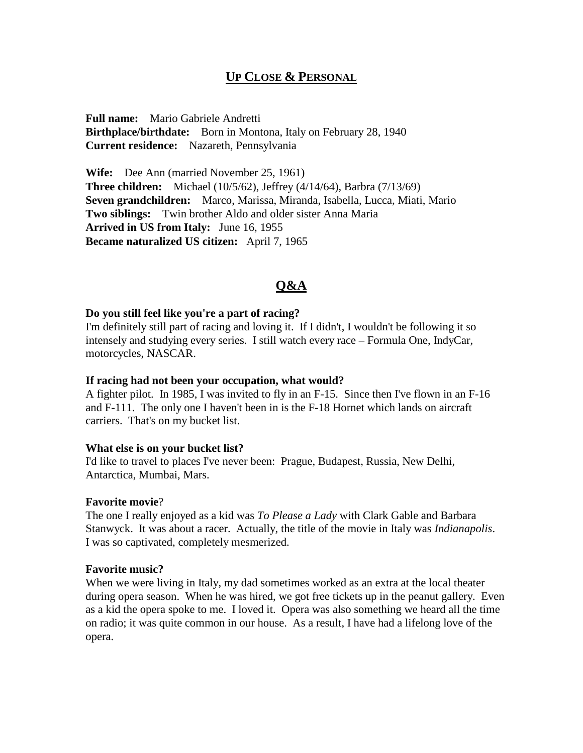# **UP CLOSE & PERSONAL**

**Full name:** Mario Gabriele Andretti **Birthplace/birthdate:** Born in Montona, Italy on February 28, 1940 **Current residence:** Nazareth, Pennsylvania

**Wife:** Dee Ann (married November 25, 1961) **Three children:** Michael (10/5/62), Jeffrey (4/14/64), Barbra (7/13/69) **Seven grandchildren:** Marco, Marissa, Miranda, Isabella, Lucca, Miati, Mario **Two siblings:** Twin brother Aldo and older sister Anna Maria **Arrived in US from Italy:** June 16, 1955 **Became naturalized US citizen:** April 7, 1965

# **Q&A**

#### **Do you still feel like you're a part of racing?**

I'm definitely still part of racing and loving it. If I didn't, I wouldn't be following it so intensely and studying every series. I still watch every race – Formula One, IndyCar, motorcycles, NASCAR.

#### **If racing had not been your occupation, what would?**

A fighter pilot. In 1985, I was invited to fly in an F-15. Since then I've flown in an F-16 and F-111. The only one I haven't been in is the F-18 Hornet which lands on aircraft carriers. That's on my bucket list.

#### **What else is on your bucket list?**

I'd like to travel to places I've never been: Prague, Budapest, Russia, New Delhi, Antarctica, Mumbai, Mars.

### **Favorite movie**?

The one I really enjoyed as a kid was *To Please a Lady* with Clark Gable and Barbara Stanwyck. It was about a racer. Actually, the title of the movie in Italy was *Indianapolis*. I was so captivated, completely mesmerized.

#### **Favorite music?**

When we were living in Italy, my dad sometimes worked as an extra at the local theater during opera season. When he was hired, we got free tickets up in the peanut gallery. Even as a kid the opera spoke to me. I loved it. Opera was also something we heard all the time on radio; it was quite common in our house. As a result, I have had a lifelong love of the opera.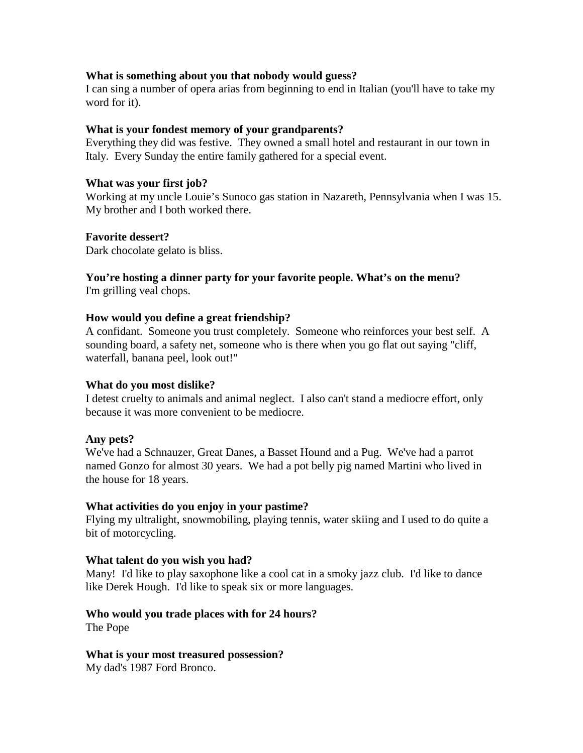### **What is something about you that nobody would guess?**

I can sing a number of opera arias from beginning to end in Italian (you'll have to take my word for it).

#### **What is your fondest memory of your grandparents?**

Everything they did was festive. They owned a small hotel and restaurant in our town in Italy. Every Sunday the entire family gathered for a special event.

#### **What was your first job?**

Working at my uncle Louie's Sunoco gas station in Nazareth, Pennsylvania when I was 15. My brother and I both worked there.

#### **Favorite dessert?**

Dark chocolate gelato is bliss.

# **You're hosting a dinner party for your favorite people. What's on the menu?**

I'm grilling veal chops.

### **How would you define a great friendship?**

A confidant. Someone you trust completely. Someone who reinforces your best self. A sounding board, a safety net, someone who is there when you go flat out saying "cliff, waterfall, banana peel, look out!"

### **What do you most dislike?**

I detest cruelty to animals and animal neglect. I also can't stand a mediocre effort, only because it was more convenient to be mediocre.

### **Any pets?**

We've had a Schnauzer, Great Danes, a Basset Hound and a Pug. We've had a parrot named Gonzo for almost 30 years. We had a pot belly pig named Martini who lived in the house for 18 years.

### **What activities do you enjoy in your pastime?**

Flying my ultralight, snowmobiling, playing tennis, water skiing and I used to do quite a bit of motorcycling.

### **What talent do you wish you had?**

Many! I'd like to play saxophone like a cool cat in a smoky jazz club. I'd like to dance like Derek Hough. I'd like to speak six or more languages.

#### **Who would you trade places with for 24 hours?**  The Pope

#### **What is your most treasured possession?**

My dad's 1987 Ford Bronco.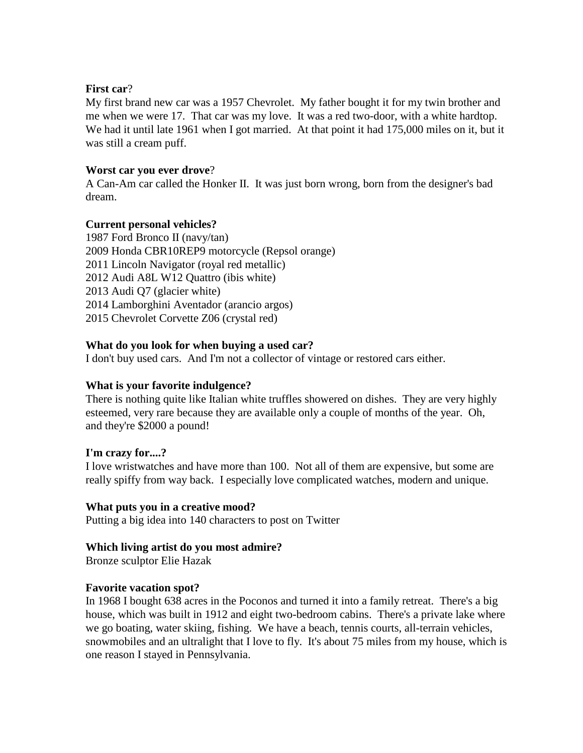### **First car**?

My first brand new car was a 1957 Chevrolet. My father bought it for my twin brother and me when we were 17. That car was my love. It was a red two-door, with a white hardtop. We had it until late 1961 when I got married. At that point it had 175,000 miles on it, but it was still a cream puff.

## **Worst car you ever drove**?

A Can-Am car called the Honker II. It was just born wrong, born from the designer's bad dream.

### **Current personal vehicles?**

1987 Ford Bronco II (navy/tan) 2009 Honda CBR10REP9 motorcycle (Repsol orange) 2011 Lincoln Navigator (royal red metallic) 2012 Audi A8L W12 Quattro (ibis white) 2013 Audi Q7 (glacier white) 2014 Lamborghini Aventador (arancio argos) 2015 Chevrolet Corvette Z06 (crystal red)

## **What do you look for when buying a used car?**

I don't buy used cars. And I'm not a collector of vintage or restored cars either.

# **What is your favorite indulgence?**

There is nothing quite like Italian white truffles showered on dishes. They are very highly esteemed, very rare because they are available only a couple of months of the year. Oh, and they're \$2000 a pound!

### **I'm crazy for....?**

I love wristwatches and have more than 100. Not all of them are expensive, but some are really spiffy from way back. I especially love complicated watches, modern and unique.

### **What puts you in a creative mood?**

Putting a big idea into 140 characters to post on Twitter

# **Which living artist do you most admire?**

Bronze sculptor Elie Hazak

### **Favorite vacation spot?**

In 1968 I bought 638 acres in the Poconos and turned it into a family retreat. There's a big house, which was built in 1912 and eight two-bedroom cabins. There's a private lake where we go boating, water skiing, fishing. We have a beach, tennis courts, all-terrain vehicles, snowmobiles and an ultralight that I love to fly. It's about 75 miles from my house, which is one reason I stayed in Pennsylvania.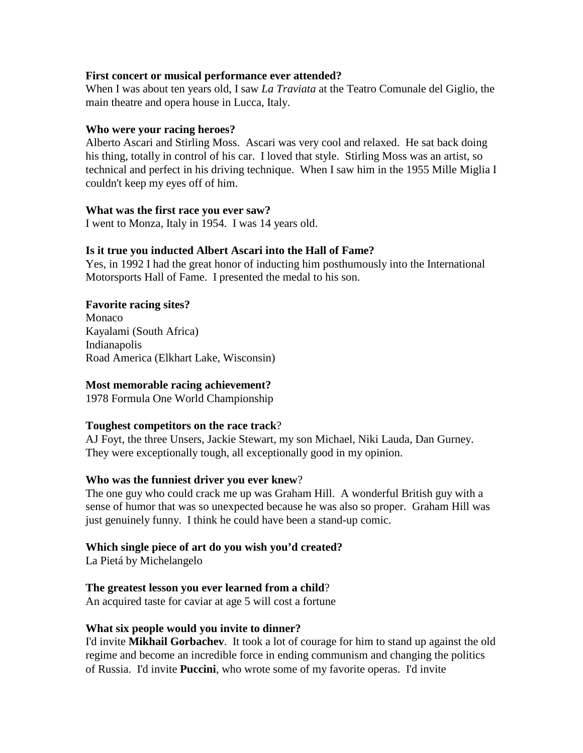#### **First concert or musical performance ever attended?**

When I was about ten years old, I saw *La Traviata* at the Teatro Comunale del Giglio, the main theatre and opera house in Lucca, Italy.

#### **Who were your racing heroes?**

Alberto Ascari and Stirling Moss. Ascari was very cool and relaxed. He sat back doing his thing, totally in control of his car. I loved that style. Stirling Moss was an artist, so technical and perfect in his driving technique. When I saw him in the 1955 Mille Miglia I couldn't keep my eyes off of him.

#### **What was the first race you ever saw?**

I went to Monza, Italy in 1954. I was 14 years old.

### **Is it true you inducted Albert Ascari into the Hall of Fame?**

Yes, in 1992 I had the great honor of inducting him posthumously into the International Motorsports Hall of Fame. I presented the medal to his son.

### **Favorite racing sites?**

Monaco Kayalami (South Africa) Indianapolis Road America (Elkhart Lake, Wisconsin)

### **Most memorable racing achievement?**

1978 Formula One World Championship

### **Toughest competitors on the race track**?

AJ Foyt, the three Unsers, Jackie Stewart, my son Michael, Niki Lauda, Dan Gurney. They were exceptionally tough, all exceptionally good in my opinion.

#### **Who was the funniest driver you ever knew**?

The one guy who could crack me up was Graham Hill. A wonderful British guy with a sense of humor that was so unexpected because he was also so proper. Graham Hill was just genuinely funny. I think he could have been a stand-up comic.

### **Which single piece of art do you wish you'd created?**

La Pietá by Michelangelo

### **The greatest lesson you ever learned from a child**?

An acquired taste for caviar at age 5 will cost a fortune

#### **What six people would you invite to dinner?**

I'd invite **Mikhail Gorbachev**. It took a lot of courage for him to stand up against the old regime and become an incredible force in ending communism and changing the politics of Russia. I'd invite **Puccini**, who wrote some of my favorite operas. I'd invite